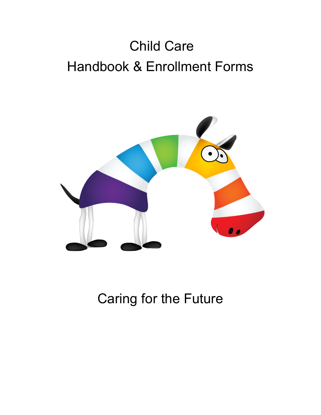# Child Care Handbook & Enrollment Forms



## Caring for the Future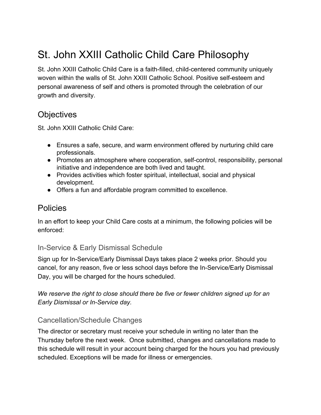### St. John XXIII Catholic Child Care Philosophy

St. John XXIII Catholic Child Care is a faith-filled, child-centered community uniquely woven within the walls of St. John XXIII Catholic School. Positive self-esteem and personal awareness of self and others is promoted through the celebration of our growth and diversity.

#### **Objectives**

St. John XXIII Catholic Child Care:

- Ensures a safe, secure, and warm environment offered by nurturing child care professionals.
- Promotes an atmosphere where cooperation, self-control, responsibility, personal initiative and independence are both lived and taught.
- Provides activities which foster spiritual, intellectual, social and physical development.
- Offers a fun and affordable program committed to excellence.

#### **Policies**

In an effort to keep your Child Care costs at a minimum, the following policies will be enforced:

#### In-Service & Early Dismissal Schedule

Sign up for In-Service/Early Dismissal Days takes place 2 weeks prior. Should you cancel, for any reason, five or less school days before the In-Service/Early Dismissal Day, you will be charged for the hours scheduled.

*We reserve the right to close should there be five or fewer children signed up for an Early Dismissal or In-Service day.*

#### Cancellation/Schedule Changes

The director or secretary must receive your schedule in writing no later than the Thursday before the next week. Once submitted, changes and cancellations made to this schedule will result in your account being charged for the hours you had previously scheduled. Exceptions will be made for illness or emergencies.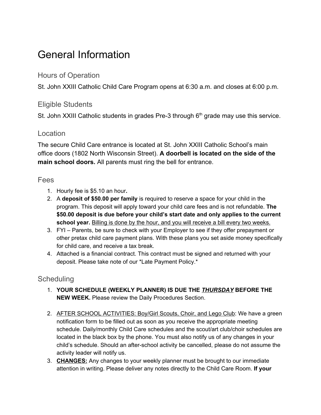### General Information

#### Hours of Operation

St. John XXIII Catholic Child Care Program opens at 6:30 a.m. and closes at 6:00 p.m.

#### Eligible Students

St. John XXIII Catholic students in grades Pre-3 through  $6<sup>th</sup>$  grade may use this service.

#### **Location**

The secure Child Care entrance is located at St. John XXIII Catholic School's main office doors (1802 North Wisconsin Street). **A doorbell is located on the side of the main school doors.** All parents must ring the bell for entrance.

#### Fees

- 1. Hourly fee is \$5.10 an hour**.**
- 2. A **deposit of \$50.00 per family** is required to reserve a space for your child in the program. This deposit will apply toward your child care fees and is not refundable. **The \$50.00 deposit is due before your child's start date and only applies to the current school year.** Billing is done by the hour, and you will receive a bill every two weeks.
- 3. FYI Parents, be sure to check with your Employer to see if they offer prepayment or other pretax child care payment plans. With these plans you set aside money specifically for child care, and receive a tax break.
- 4. Attached is a financial contract. This contract must be signed and returned with your deposit. Please take note of our \*Late Payment Policy.\*

#### **Scheduling**

- 1. **YOUR SCHEDULE (WEEKLY PLANNER) IS DUE THE** *THURSDAY* **BEFORE THE NEW WEEK.** Please review the Daily Procedures Section.
- 2. AFTER SCHOOL ACTIVITIES: Boy/Girl Scouts, Choir, and Lego Club: We have a green notification form to be filled out as soon as you receive the appropriate meeting schedule. Daily/monthly Child Care schedules and the scout/art club/choir schedules are located in the black box by the phone. You must also notify us of any changes in your child's schedule. Should an after-school activity be cancelled, please do not assume the activity leader will notify us.
- 3. **CHANGES:** Any changes to your weekly planner must be brought to our immediate attention in writing. Please deliver any notes directly to the Child Care Room. **If your**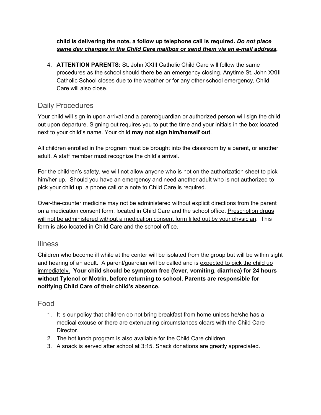**child is delivering the note, a follow up telephone call is required.** *Do not place same day changes in the Child Care mailbox or send them via an e-mail address.*

4. **ATTENTION PARENTS:** St. John XXIII Catholic Child Care will follow the same procedures as the school should there be an emergency closing. Anytime St. John XXIII Catholic School closes due to the weather or for any other school emergency, Child Care will also close.

#### Daily Procedures

Your child will sign in upon arrival and a parent/guardian or authorized person will sign the child out upon departure. Signing out requires you to put the time and your initials in the box located next to your child's name. Your child **may not sign him/herself out**.

All children enrolled in the program must be brought into the classroom by a parent, or another adult. A staff member must recognize the child's arrival.

For the children's safety, we will not allow anyone who is not on the authorization sheet to pick him/her up. Should you have an emergency and need another adult who is not authorized to pick your child up, a phone call or a note to Child Care is required.

Over-the-counter medicine may not be administered without explicit directions from the parent on a medication consent form, located in Child Care and the school office. Prescription drugs will not be administered without a medication consent form filled out by your physician. This form is also located in Child Care and the school office.

#### Illness

Children who become ill while at the center will be isolated from the group but will be within sight and hearing of an adult. A parent/guardian will be called and is expected to pick the child up immediately. **Your child should be symptom free (fever, vomiting, diarrhea) for 24 hours without Tylenol or Motrin, before returning to school. Parents are responsible for notifying Child Care of their child's absence.**

#### Food

- 1. It is our policy that children do not bring breakfast from home unless he/she has a medical excuse or there are extenuating circumstances clears with the Child Care Director.
- 2. The hot lunch program is also available for the Child Care children.
- 3. A snack is served after school at 3:15. Snack donations are greatly appreciated.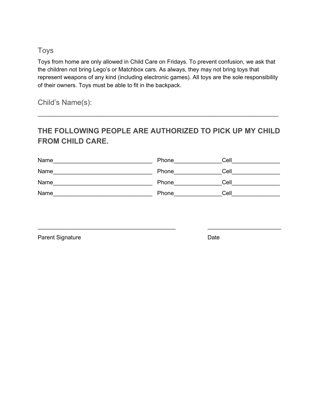#### Toys

Toys from home are only allowed in Child Care on Fridays. To prevent confusion, we ask that the children not bring Lego's or Matchbox cars. As always, they may not bring toys that represent weapons of any kind (including electronic games). All toys are the sole responsibility of their owners. Toys must be able to fit in the backpack.

Child's Name(s):

#### **THE FOLLOWING PEOPLE ARE AUTHORIZED TO PICK UP MY CHILD FROM CHILD CARE.**

 $\mathcal{L}_\text{G} = \{ \mathcal{L}_\text{G} \mid \mathcal{L}_\text{G} \}$ 

| Name | Phone | Cell |
|------|-------|------|
| Name | Phone | Cell |
| Name | Phone | Cell |
| Name | Phone | Cell |

 $\_$  ,  $\_$  ,  $\_$  ,  $\_$  ,  $\_$  ,  $\_$  ,  $\_$  ,  $\_$  ,  $\_$  ,  $\_$  ,  $\_$  ,  $\_$  ,  $\_$  ,  $\_$  ,  $\_$  ,  $\_$  ,  $\_$  ,  $\_$  ,  $\_$  ,  $\_$  ,  $\_$  ,  $\_$  ,  $\_$  ,  $\_$  ,  $\_$  ,  $\_$  ,  $\_$  ,  $\_$  ,  $\_$  ,  $\_$  ,  $\_$  ,  $\_$  ,  $\_$  ,  $\_$  ,  $\_$  ,  $\_$  ,  $\_$  ,

Parent Signature Date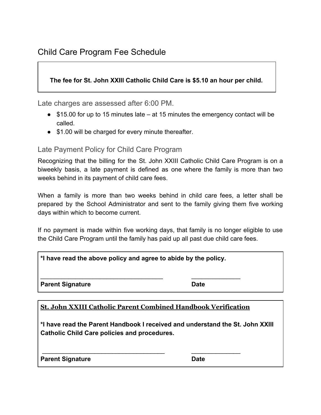#### **The fee for St. John XXIII Catholic Child Care is \$5.10 an hour per child.**

Late charges are assessed after 6:00 PM.

- \$15.00 for up to 15 minutes late at 15 minutes the emergency contact will be called.
- \$1.00 will be charged for every minute thereafter.

Late Payment Policy for Child Care Program

Recognizing that the billing for the St. John XXIII Catholic Child Care Program is on a biweekly basis, a late payment is defined as one where the family is more than two weeks behind in its payment of child care fees.

When a family is more than two weeks behind in child care fees, a letter shall be prepared by the School Administrator and sent to the family giving them five working days within which to become current.

If no payment is made within five working days, that family is no longer eligible to use the Child Care Program until the family has paid up all past due child care fees.

| *I have read the above policy and agree to abide by the policy. |      |  |
|-----------------------------------------------------------------|------|--|
|                                                                 |      |  |
| <b>Parent Signature</b>                                         | Date |  |

#### **St. John XXIII Catholic Parent Combined Handbook Verification**

\_\_\_\_\_\_\_\_\_\_\_\_\_\_\_\_\_\_\_\_\_\_\_\_\_\_\_\_\_\_\_\_\_\_\_ \_\_\_\_\_\_\_\_\_\_\_\_\_\_

**\*I have read the Parent Handbook I received and understand the St. John XXIII Catholic Child Care policies and procedures.**

| <b>Parent Signature</b> | <b>Date</b> |
|-------------------------|-------------|
|-------------------------|-------------|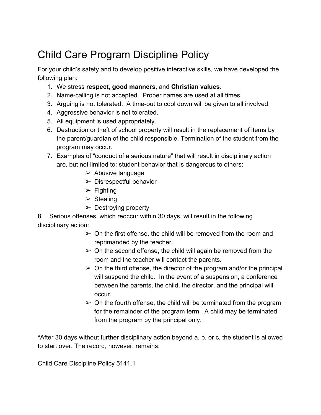### Child Care Program Discipline Policy

For your child's safety and to develop positive interactive skills, we have developed the following plan:

- 1. We stress **respect**, **good manners**, and **Christian values**.
- 2. Name-calling is not accepted. Proper names are used at all times.
- 3. Arguing is not tolerated. A time-out to cool down will be given to all involved.
- 4. Aggressive behavior is not tolerated.
- 5. All equipment is used appropriately.
- 6. Destruction or theft of school property will result in the replacement of items by the parent/guardian of the child responsible. Termination of the student from the program may occur.
- 7. Examples of "conduct of a serious nature" that will result in disciplinary action are, but not limited to: student behavior that is dangerous to others:
	- $\triangleright$  Abusive language
	- $\triangleright$  Disrespectful behavior
	- $\triangleright$  Fighting
	- $\triangleright$  Stealing
	- $\triangleright$  Destroying property

8. Serious offenses, which reoccur within 30 days, will result in the following disciplinary action:

- $\geq$  On the first offense, the child will be removed from the room and reprimanded by the teacher.
- $\geq$  On the second offense, the child will again be removed from the room and the teacher will contact the parents.
- $\geq$  On the third offense, the director of the program and/or the principal will suspend the child. In the event of a suspension, a conference between the parents, the child, the director, and the principal will occur.
- $\geq$  On the fourth offense, the child will be terminated from the program for the remainder of the program term. A child may be terminated from the program by the principal only.

\*After 30 days without further disciplinary action beyond a, b, or c, the student is allowed to start over. The record, however, remains.

Child Care Discipline Policy 5141.1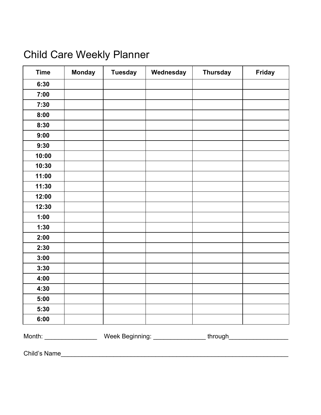### Child Care Weekly Planner

| <b>Time</b>                 | <b>Monday</b> | <b>Tuesday</b> | Wednesday | <b>Thursday</b> | <b>Friday</b> |
|-----------------------------|---------------|----------------|-----------|-----------------|---------------|
| 6:30                        |               |                |           |                 |               |
| 7:00                        |               |                |           |                 |               |
| 7:30                        |               |                |           |                 |               |
| 8:00                        |               |                |           |                 |               |
| 8:30                        |               |                |           |                 |               |
| 9:00                        |               |                |           |                 |               |
| 9:30                        |               |                |           |                 |               |
| 10:00                       |               |                |           |                 |               |
| 10:30                       |               |                |           |                 |               |
| 11:00                       |               |                |           |                 |               |
| 11:30                       |               |                |           |                 |               |
| 12:00                       |               |                |           |                 |               |
| 12:30                       |               |                |           |                 |               |
| 1:00                        |               |                |           |                 |               |
| 1:30                        |               |                |           |                 |               |
| 2:00                        |               |                |           |                 |               |
| 2:30                        |               |                |           |                 |               |
| 3:00                        |               |                |           |                 |               |
| 3:30                        |               |                |           |                 |               |
| 4:00                        |               |                |           |                 |               |
| 4:30                        |               |                |           |                 |               |
| 5:00                        |               |                |           |                 |               |
| 5:30                        |               |                |           |                 |               |
| 6:00                        |               |                |           |                 |               |
| Month: ____________________ |               |                |           |                 |               |

Child's Name\_\_\_\_\_\_\_\_\_\_\_\_\_\_\_\_\_\_\_\_\_\_\_\_\_\_\_\_\_\_\_\_\_\_\_\_\_\_\_\_\_\_\_\_\_\_\_\_\_\_\_\_\_\_\_\_\_\_\_\_\_\_\_\_\_